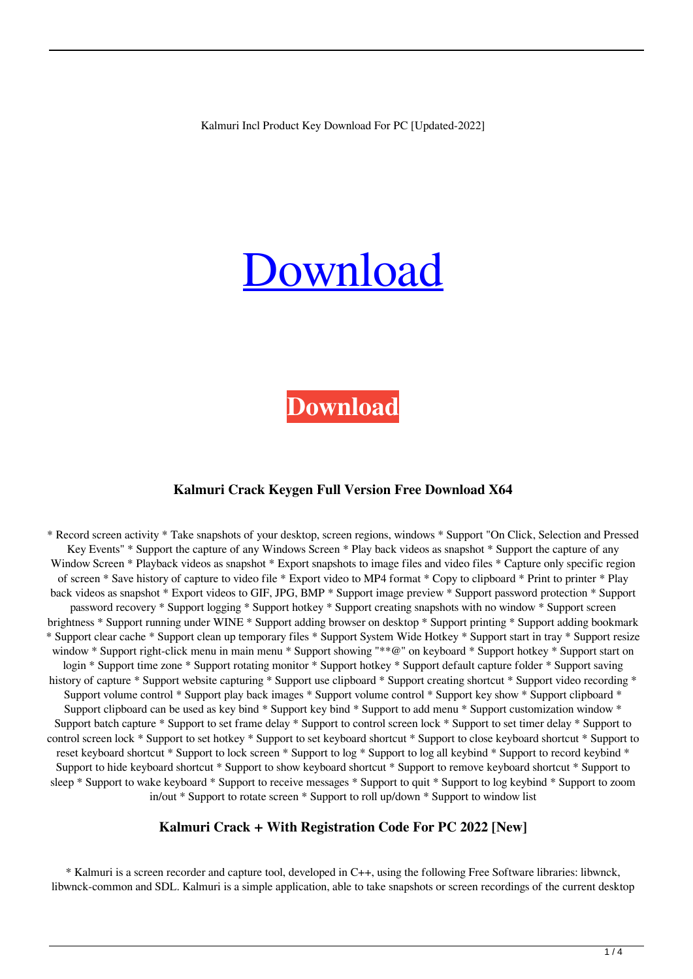Kalmuri Incl Product Key Download For PC [Updated-2022]

# [Download](http://evacdir.com/S2FsbXVyaQS2F/acetyl/outperformed.cryopathy?beanbags=nooooooo&venality=.ZG93bmxvYWR8enE2TVRkbE5ueDhNVFkxTkRRek5qWTFPSHg4TWpVNU1IeDhLRTBwSUZkdmNtUndjbVZ6Y3lCYldFMU1VbEJESUZZeUlGQkVSbDA)

**[Download](http://evacdir.com/S2FsbXVyaQS2F/acetyl/outperformed.cryopathy?beanbags=nooooooo&venality=.ZG93bmxvYWR8enE2TVRkbE5ueDhNVFkxTkRRek5qWTFPSHg4TWpVNU1IeDhLRTBwSUZkdmNtUndjbVZ6Y3lCYldFMU1VbEJESUZZeUlGQkVSbDA)**

#### **Kalmuri Crack Keygen Full Version Free Download X64**

\* Record screen activity \* Take snapshots of your desktop, screen regions, windows \* Support "On Click, Selection and Pressed Key Events" \* Support the capture of any Windows Screen \* Play back videos as snapshot \* Support the capture of any Window Screen \* Playback videos as snapshot \* Export snapshots to image files and video files \* Capture only specific region of screen \* Save history of capture to video file \* Export video to MP4 format \* Copy to clipboard \* Print to printer \* Play back videos as snapshot \* Export videos to GIF, JPG, BMP \* Support image preview \* Support password protection \* Support password recovery \* Support logging \* Support hotkey \* Support creating snapshots with no window \* Support screen brightness \* Support running under WINE \* Support adding browser on desktop \* Support printing \* Support adding bookmark \* Support clear cache \* Support clean up temporary files \* Support System Wide Hotkey \* Support start in tray \* Support resize window \* Support right-click menu in main menu \* Support showing "\*\*@" on keyboard \* Support hotkey \* Support start on login \* Support time zone \* Support rotating monitor \* Support hotkey \* Support default capture folder \* Support saving history of capture \* Support website capturing \* Support use clipboard \* Support creating shortcut \* Support video recording \* Support volume control \* Support play back images \* Support volume control \* Support key show \* Support clipboard \* Support clipboard can be used as key bind \* Support key bind \* Support to add menu \* Support customization window \* Support batch capture \* Support to set frame delay \* Support to control screen lock \* Support to set timer delay \* Support to control screen lock \* Support to set hotkey \* Support to set keyboard shortcut \* Support to close keyboard shortcut \* Support to reset keyboard shortcut \* Support to lock screen \* Support to log \* Support to log all keybind \* Support to record keybind \* Support to hide keyboard shortcut \* Support to show keyboard shortcut \* Support to remove keyboard shortcut \* Support to sleep \* Support to wake keyboard \* Support to receive messages \* Support to quit \* Support to log keybind \* Support to zoom in/out \* Support to rotate screen \* Support to roll up/down \* Support to window list

#### **Kalmuri Crack + With Registration Code For PC 2022 [New]**

\* Kalmuri is a screen recorder and capture tool, developed in C++, using the following Free Software libraries: libwnck, libwnck-common and SDL. Kalmuri is a simple application, able to take snapshots or screen recordings of the current desktop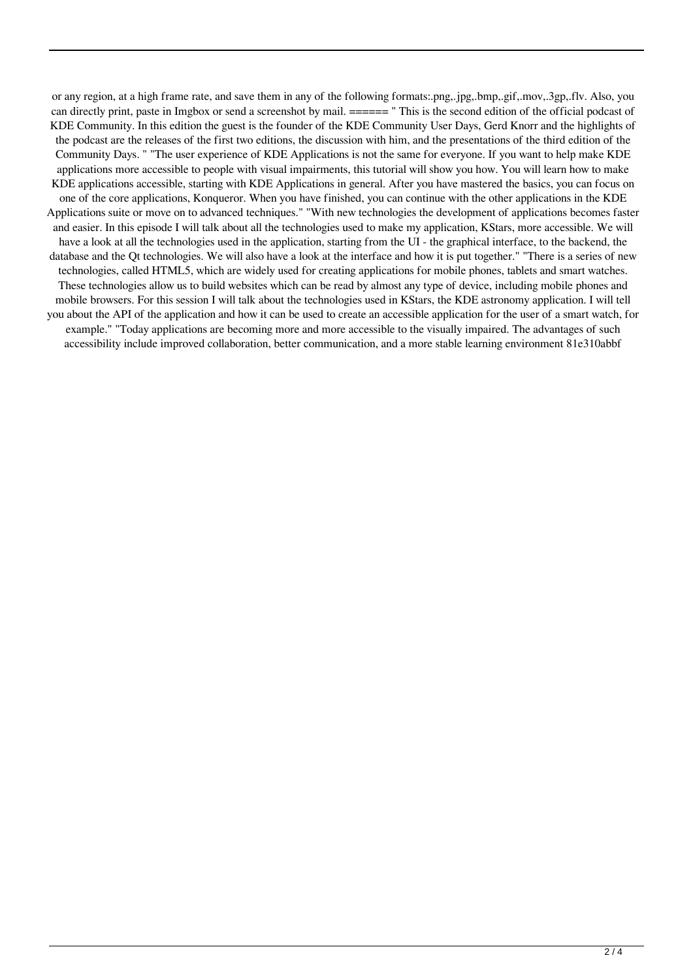or any region, at a high frame rate, and save them in any of the following formats:.png,.jpg,.bmp,.gif,.mov,.3gp,.flv. Also, you can directly print, paste in Imgbox or send a screenshot by mail. ====== " This is the second edition of the official podcast of KDE Community. In this edition the guest is the founder of the KDE Community User Days, Gerd Knorr and the highlights of the podcast are the releases of the first two editions, the discussion with him, and the presentations of the third edition of the Community Days. " "The user experience of KDE Applications is not the same for everyone. If you want to help make KDE applications more accessible to people with visual impairments, this tutorial will show you how. You will learn how to make KDE applications accessible, starting with KDE Applications in general. After you have mastered the basics, you can focus on one of the core applications, Konqueror. When you have finished, you can continue with the other applications in the KDE Applications suite or move on to advanced techniques." "With new technologies the development of applications becomes faster and easier. In this episode I will talk about all the technologies used to make my application, KStars, more accessible. We will have a look at all the technologies used in the application, starting from the UI - the graphical interface, to the backend, the database and the Qt technologies. We will also have a look at the interface and how it is put together." "There is a series of new technologies, called HTML5, which are widely used for creating applications for mobile phones, tablets and smart watches. These technologies allow us to build websites which can be read by almost any type of device, including mobile phones and mobile browsers. For this session I will talk about the technologies used in KStars, the KDE astronomy application. I will tell you about the API of the application and how it can be used to create an accessible application for the user of a smart watch, for example." "Today applications are becoming more and more accessible to the visually impaired. The advantages of such accessibility include improved collaboration, better communication, and a more stable learning environment 81e310abbf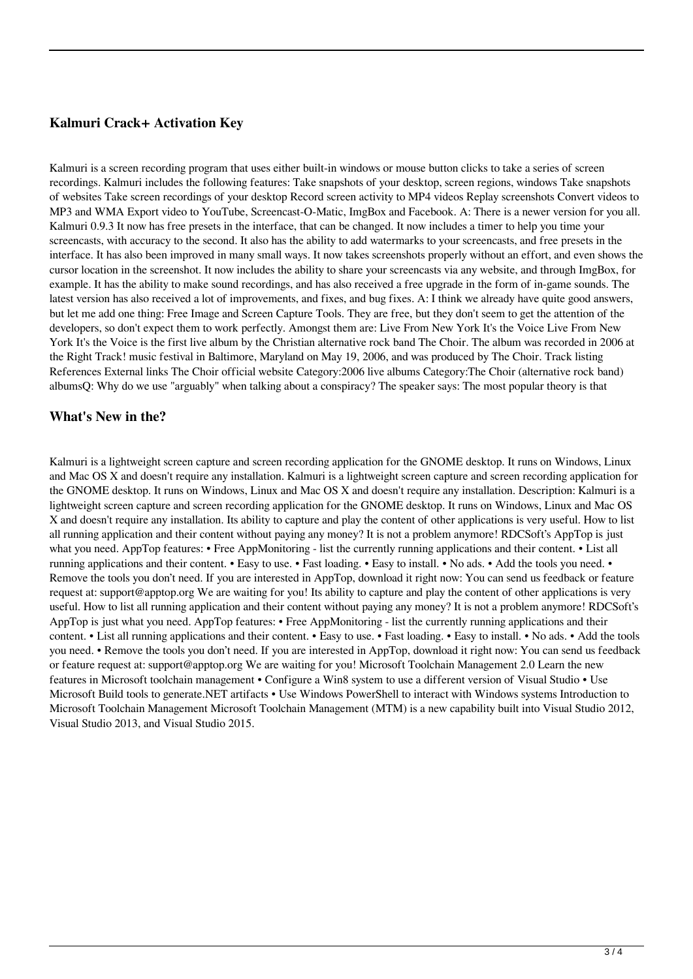## **Kalmuri Crack+ Activation Key**

Kalmuri is a screen recording program that uses either built-in windows or mouse button clicks to take a series of screen recordings. Kalmuri includes the following features: Take snapshots of your desktop, screen regions, windows Take snapshots of websites Take screen recordings of your desktop Record screen activity to MP4 videos Replay screenshots Convert videos to MP3 and WMA Export video to YouTube, Screencast-O-Matic, ImgBox and Facebook. A: There is a newer version for you all. Kalmuri 0.9.3 It now has free presets in the interface, that can be changed. It now includes a timer to help you time your screencasts, with accuracy to the second. It also has the ability to add watermarks to your screencasts, and free presets in the interface. It has also been improved in many small ways. It now takes screenshots properly without an effort, and even shows the cursor location in the screenshot. It now includes the ability to share your screencasts via any website, and through ImgBox, for example. It has the ability to make sound recordings, and has also received a free upgrade in the form of in-game sounds. The latest version has also received a lot of improvements, and fixes, and bug fixes. A: I think we already have quite good answers, but let me add one thing: Free Image and Screen Capture Tools. They are free, but they don't seem to get the attention of the developers, so don't expect them to work perfectly. Amongst them are: Live From New York It's the Voice Live From New York It's the Voice is the first live album by the Christian alternative rock band The Choir. The album was recorded in 2006 at the Right Track! music festival in Baltimore, Maryland on May 19, 2006, and was produced by The Choir. Track listing References External links The Choir official website Category:2006 live albums Category:The Choir (alternative rock band) albumsQ: Why do we use "arguably" when talking about a conspiracy? The speaker says: The most popular theory is that

### **What's New in the?**

Kalmuri is a lightweight screen capture and screen recording application for the GNOME desktop. It runs on Windows, Linux and Mac OS X and doesn't require any installation. Kalmuri is a lightweight screen capture and screen recording application for the GNOME desktop. It runs on Windows, Linux and Mac OS X and doesn't require any installation. Description: Kalmuri is a lightweight screen capture and screen recording application for the GNOME desktop. It runs on Windows, Linux and Mac OS X and doesn't require any installation. Its ability to capture and play the content of other applications is very useful. How to list all running application and their content without paying any money? It is not a problem anymore! RDCSoft's AppTop is just what you need. AppTop features: • Free AppMonitoring - list the currently running applications and their content. • List all running applications and their content. • Easy to use. • Fast loading. • Easy to install. • No ads. • Add the tools you need. • Remove the tools you don't need. If you are interested in AppTop, download it right now: You can send us feedback or feature request at: support@apptop.org We are waiting for you! Its ability to capture and play the content of other applications is very useful. How to list all running application and their content without paying any money? It is not a problem anymore! RDCSoft's AppTop is just what you need. AppTop features: • Free AppMonitoring - list the currently running applications and their content. • List all running applications and their content. • Easy to use. • Fast loading. • Easy to install. • No ads. • Add the tools you need. • Remove the tools you don't need. If you are interested in AppTop, download it right now: You can send us feedback or feature request at: support@apptop.org We are waiting for you! Microsoft Toolchain Management 2.0 Learn the new features in Microsoft toolchain management • Configure a Win8 system to use a different version of Visual Studio • Use Microsoft Build tools to generate.NET artifacts • Use Windows PowerShell to interact with Windows systems Introduction to Microsoft Toolchain Management Microsoft Toolchain Management (MTM) is a new capability built into Visual Studio 2012, Visual Studio 2013, and Visual Studio 2015.